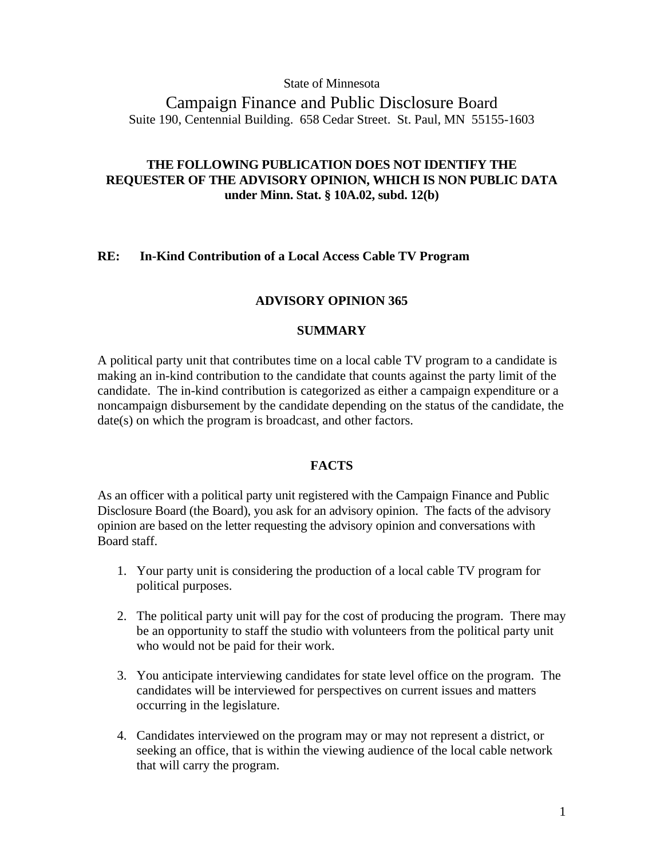### State of Minnesota

# Campaign Finance and Public Disclosure Board Suite 190, Centennial Building. 658 Cedar Street. St. Paul, MN 55155-1603

# **THE FOLLOWING PUBLICATION DOES NOT IDENTIFY THE REQUESTER OF THE ADVISORY OPINION, WHICH IS NON PUBLIC DATA under Minn. Stat. § 10A.02, subd. 12(b)**

## **RE: In-Kind Contribution of a Local Access Cable TV Program**

### **ADVISORY OPINION 365**

### **SUMMARY**

A political party unit that contributes time on a local cable TV program to a candidate is making an in-kind contribution to the candidate that counts against the party limit of the candidate. The in-kind contribution is categorized as either a campaign expenditure or a noncampaign disbursement by the candidate depending on the status of the candidate, the date(s) on which the program is broadcast, and other factors.

# **FACTS**

As an officer with a political party unit registered with the Campaign Finance and Public Disclosure Board (the Board), you ask for an advisory opinion. The facts of the advisory opinion are based on the letter requesting the advisory opinion and conversations with Board staff.

- 1. Your party unit is considering the production of a local cable TV program for political purposes.
- 2. The political party unit will pay for the cost of producing the program. There may be an opportunity to staff the studio with volunteers from the political party unit who would not be paid for their work.
- 3. You anticipate interviewing candidates for state level office on the program. The candidates will be interviewed for perspectives on current issues and matters occurring in the legislature.
- 4. Candidates interviewed on the program may or may not represent a district, or seeking an office, that is within the viewing audience of the local cable network that will carry the program.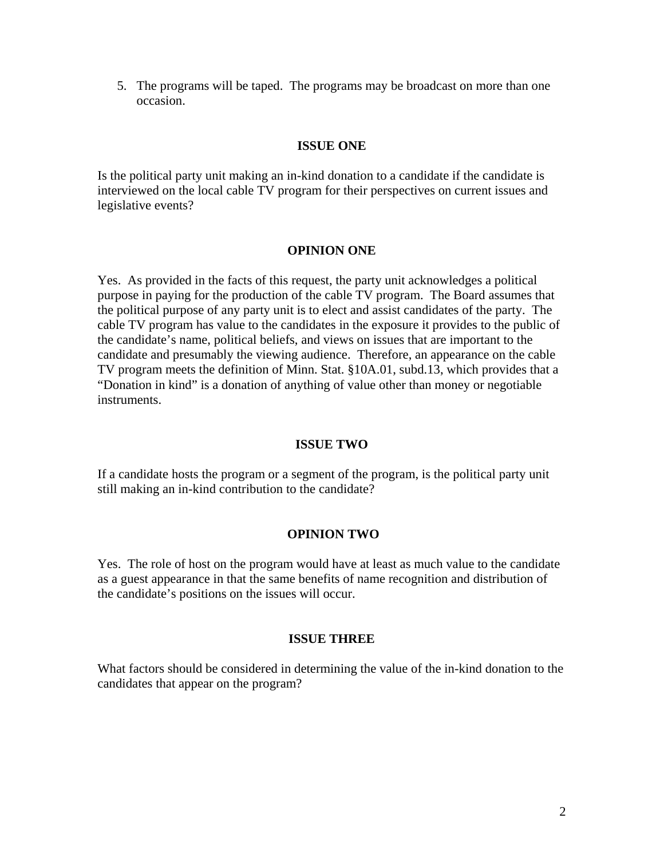5. The programs will be taped. The programs may be broadcast on more than one occasion.

# **ISSUE ONE**

Is the political party unit making an in-kind donation to a candidate if the candidate is interviewed on the local cable TV program for their perspectives on current issues and legislative events?

# **OPINION ONE**

Yes. As provided in the facts of this request, the party unit acknowledges a political purpose in paying for the production of the cable TV program. The Board assumes that the political purpose of any party unit is to elect and assist candidates of the party. The cable TV program has value to the candidates in the exposure it provides to the public of the candidate's name, political beliefs, and views on issues that are important to the candidate and presumably the viewing audience. Therefore, an appearance on the cable TV program meets the definition of Minn. Stat. §10A.01, subd.13, which provides that a "Donation in kind" is a donation of anything of value other than money or negotiable instruments.

## **ISSUE TWO**

If a candidate hosts the program or a segment of the program, is the political party unit still making an in-kind contribution to the candidate?

## **OPINION TWO**

Yes. The role of host on the program would have at least as much value to the candidate as a guest appearance in that the same benefits of name recognition and distribution of the candidate's positions on the issues will occur.

#### **ISSUE THREE**

What factors should be considered in determining the value of the in-kind donation to the candidates that appear on the program?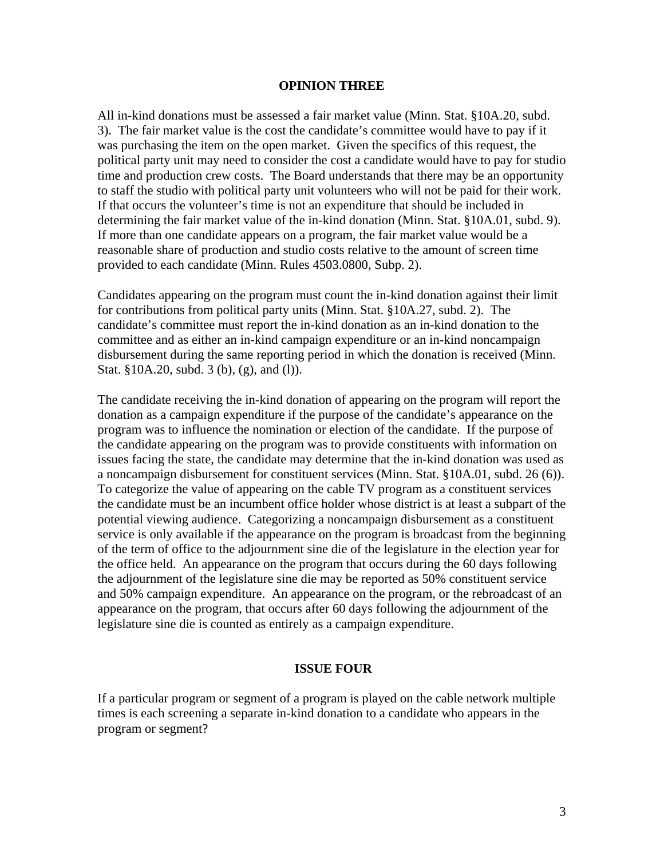#### **OPINION THREE**

All in-kind donations must be assessed a fair market value (Minn. Stat. §10A.20, subd. 3). The fair market value is the cost the candidate's committee would have to pay if it was purchasing the item on the open market. Given the specifics of this request, the political party unit may need to consider the cost a candidate would have to pay for studio time and production crew costs. The Board understands that there may be an opportunity to staff the studio with political party unit volunteers who will not be paid for their work. If that occurs the volunteer's time is not an expenditure that should be included in determining the fair market value of the in-kind donation (Minn. Stat. §10A.01, subd. 9). If more than one candidate appears on a program, the fair market value would be a reasonable share of production and studio costs relative to the amount of screen time provided to each candidate (Minn. Rules 4503.0800, Subp. 2).

Candidates appearing on the program must count the in-kind donation against their limit for contributions from political party units (Minn. Stat. §10A.27, subd. 2). The candidate's committee must report the in-kind donation as an in-kind donation to the committee and as either an in-kind campaign expenditure or an in-kind noncampaign disbursement during the same reporting period in which the donation is received (Minn. Stat. §10A.20, subd. 3 (b), (g), and (l)).

The candidate receiving the in-kind donation of appearing on the program will report the donation as a campaign expenditure if the purpose of the candidate's appearance on the program was to influence the nomination or election of the candidate. If the purpose of the candidate appearing on the program was to provide constituents with information on issues facing the state, the candidate may determine that the in-kind donation was used as a noncampaign disbursement for constituent services (Minn. Stat. §10A.01, subd. 26 (6)). To categorize the value of appearing on the cable TV program as a constituent services the candidate must be an incumbent office holder whose district is at least a subpart of the potential viewing audience. Categorizing a noncampaign disbursement as a constituent service is only available if the appearance on the program is broadcast from the beginning of the term of office to the adjournment sine die of the legislature in the election year for the office held. An appearance on the program that occurs during the 60 days following the adjournment of the legislature sine die may be reported as 50% constituent service and 50% campaign expenditure. An appearance on the program, or the rebroadcast of an appearance on the program, that occurs after 60 days following the adjournment of the legislature sine die is counted as entirely as a campaign expenditure.

#### **ISSUE FOUR**

If a particular program or segment of a program is played on the cable network multiple times is each screening a separate in-kind donation to a candidate who appears in the program or segment?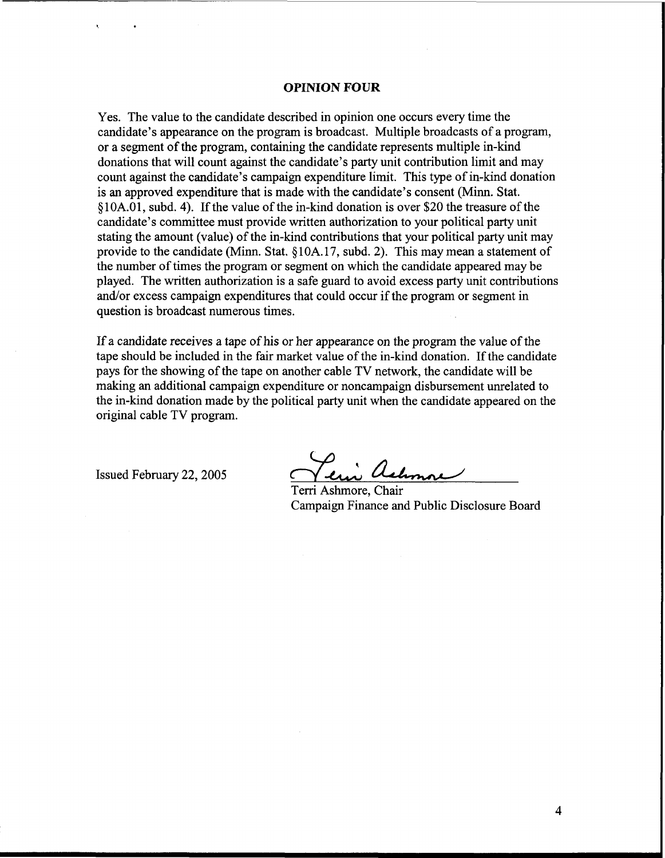#### **OPINION FOUR**

Yes. The value to the candidate described in opinion one occurs every time the candidate's appearance on the program is broadcast. Multiple broadcasts of a program, or a segment of the program, containing the candidate represents multiple in-kind donations that will count against the candidate's party unit contribution limit and may count against the candidate's campaign expenditure limit. This type of in-kind donation is an approved expenditure that is made with the candidate's consent (Minn. Stat. \$1 0A.01, subd. 4). If the value of the in-kind donation is over \$20 the treasure of the candidate's committee must provide written authorization to your political party unit stating the amount (value) of the in-kind contributions that your political party unit may provide to the candidate (Minn. Stat. \$ 10A. 17, subd. 2). This may mean a statement of the number of times the program or segment on which the candidate appeared may be played. The written authorization is a safe guard to avoid excess party unit contributions and/or excess campaign expenditures that could occur if the program or segment in question is broadcast numerous times.

If a candidate receives a tape of his or her appearance on the program the value of the tape should be included in the fair market value of the in-kind donation. If the candidate pays for the showing of the tape on another cable TV network, the candidate will be making an additional campaign expenditure or noncampaign disbursement unrelated to the in-kind donation made by the political party unit when the candidate appeared on the original cable TV program. on the program the value of the<br>
e in-kind donation. If the candidate<br>
network, the candidate will be<br>
impaign disbursement unrelated to<br>
when the candidate appeared on the<br>
Chair<br>
Chair<br>
consider the property of the candi

Issued February 22, 2005

Terri Ashmore, Chair Campaign Finance and Public Disclosure Board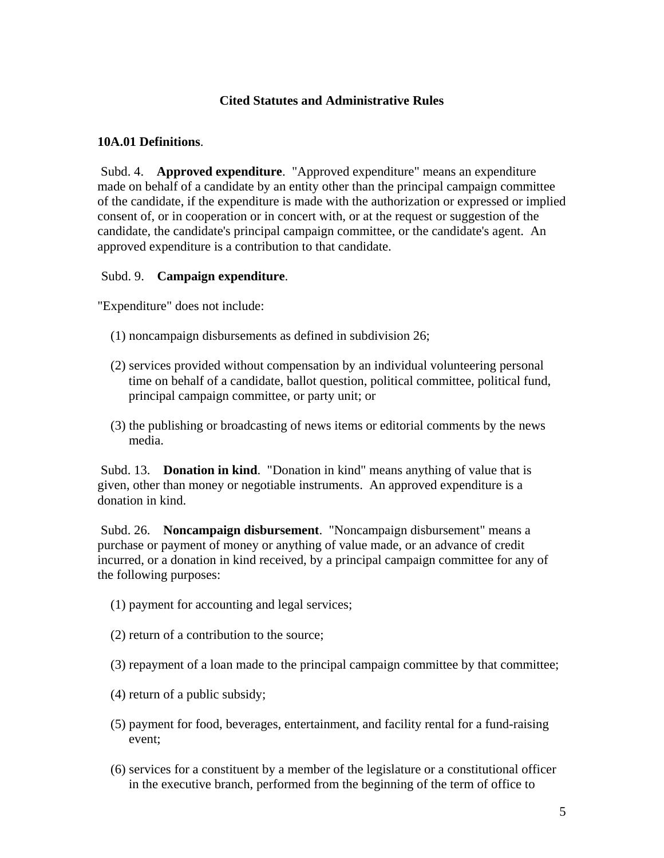# **Cited Statutes and Administrative Rules**

### **10A.01 Definitions**.

 Subd. 4. **Approved expenditure**. "Approved expenditure" means an expenditure made on behalf of a candidate by an entity other than the principal campaign committee of the candidate, if the expenditure is made with the authorization or expressed or implied consent of, or in cooperation or in concert with, or at the request or suggestion of the candidate, the candidate's principal campaign committee, or the candidate's agent. An approved expenditure is a contribution to that candidate.

### Subd. 9. **Campaign expenditure**.

"Expenditure" does not include:

- (1) noncampaign disbursements as defined in subdivision 26;
- (2) services provided without compensation by an individual volunteering personal time on behalf of a candidate, ballot question, political committee, political fund, principal campaign committee, or party unit; or
- (3) the publishing or broadcasting of news items or editorial comments by the news media.

 Subd. 13. **Donation in kind**. "Donation in kind" means anything of value that is given, other than money or negotiable instruments. An approved expenditure is a donation in kind.

 Subd. 26. **Noncampaign disbursement**. "Noncampaign disbursement" means a purchase or payment of money or anything of value made, or an advance of credit incurred, or a donation in kind received, by a principal campaign committee for any of the following purposes:

- (1) payment for accounting and legal services;
- (2) return of a contribution to the source;
- (3) repayment of a loan made to the principal campaign committee by that committee;
- (4) return of a public subsidy;
- (5) payment for food, beverages, entertainment, and facility rental for a fund-raising event;
- (6) services for a constituent by a member of the legislature or a constitutional officer in the executive branch, performed from the beginning of the term of office to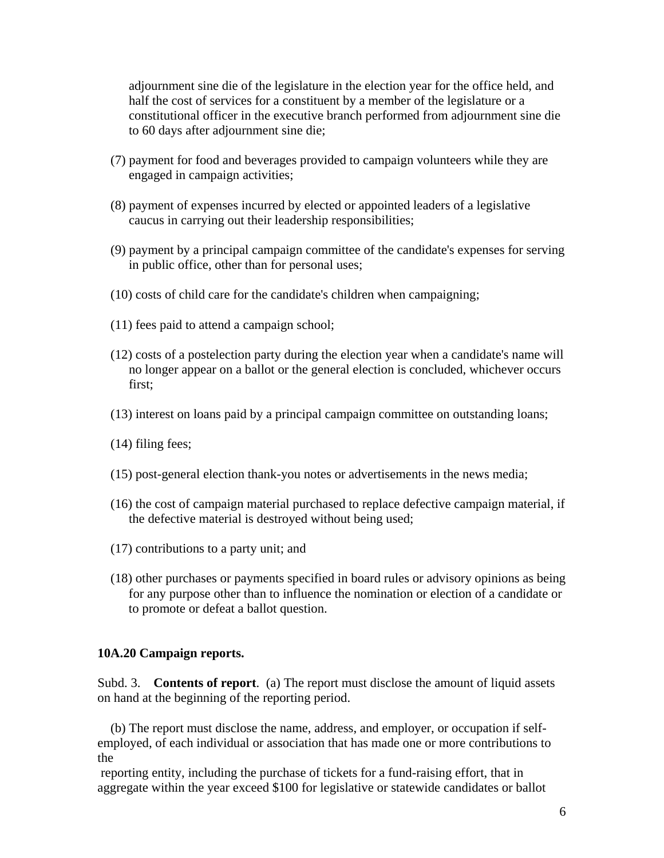adjournment sine die of the legislature in the election year for the office held, and half the cost of services for a constituent by a member of the legislature or a constitutional officer in the executive branch performed from adjournment sine die to 60 days after adjournment sine die;

- (7) payment for food and beverages provided to campaign volunteers while they are engaged in campaign activities;
- (8) payment of expenses incurred by elected or appointed leaders of a legislative caucus in carrying out their leadership responsibilities;
- (9) payment by a principal campaign committee of the candidate's expenses for serving in public office, other than for personal uses;
- (10) costs of child care for the candidate's children when campaigning;
- (11) fees paid to attend a campaign school;
- (12) costs of a postelection party during the election year when a candidate's name will no longer appear on a ballot or the general election is concluded, whichever occurs first;
- (13) interest on loans paid by a principal campaign committee on outstanding loans;
- (14) filing fees;
- (15) post-general election thank-you notes or advertisements in the news media;
- (16) the cost of campaign material purchased to replace defective campaign material, if the defective material is destroyed without being used;
- (17) contributions to a party unit; and
- (18) other purchases or payments specified in board rules or advisory opinions as being for any purpose other than to influence the nomination or election of a candidate or to promote or defeat a ballot question.

## **10A.20 Campaign reports.**

Subd. 3. **Contents of report**. (a) The report must disclose the amount of liquid assets on hand at the beginning of the reporting period.

 (b) The report must disclose the name, address, and employer, or occupation if selfemployed, of each individual or association that has made one or more contributions to the

 reporting entity, including the purchase of tickets for a fund-raising effort, that in aggregate within the year exceed \$100 for legislative or statewide candidates or ballot